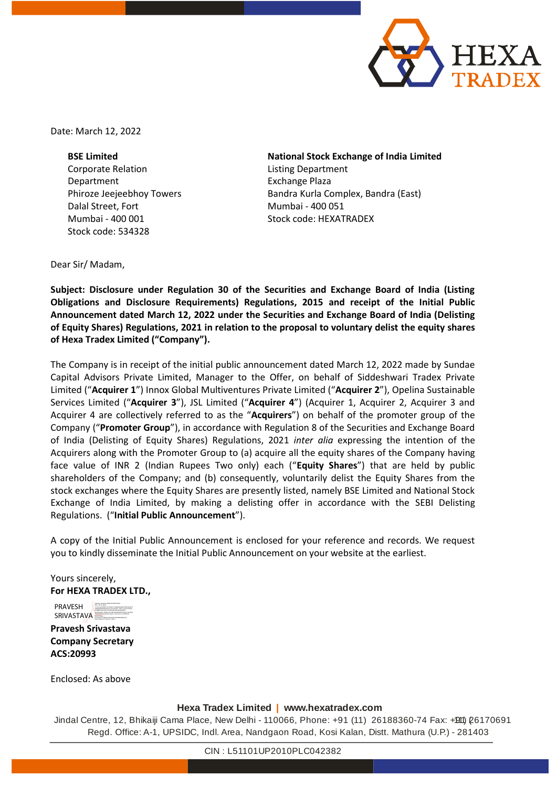

Date: March 12, 2022

**BSE Limited** Corporate Relation Department Phiroze Jeejeebhoy Towers Dalal Street, Fort Mumbai - 400 001 Stock code: 534328

**National Stock Exchange of India Limited** Listing Department Exchange Plaza Bandra Kurla Complex, Bandra (East) Mumbai - 400 051 Stock code: HEXATRADEX

Dear Sir/ Madam,

**Subject: Disclosure under Regulation 30 of the Securities and Exchange Board of India (Listing Obligations and Disclosure Requirements) Regulations, 2015 and receipt of the Initial Public Announcement dated March 12, 2022 under the Securities and Exchange Board of India (Delisting of Equity Shares) Regulations, 2021 in relation to the proposal to voluntary delist the equity shares of Hexa Tradex Limited ("Company").**

The Company is in receipt of the initial public announcement dated March 12, 2022 made by Sundae Capital Advisors Private Limited, Manager to the Offer, on behalf of Siddeshwari Tradex Private Limited ("**Acquirer 1**") Innox Global Multiventures Private Limited ("**Acquirer 2**"), Opelina Sustainable Services Limited ("**Acquirer 3**"), JSL Limited ("**Acquirer 4**") (Acquirer 1, Acquirer 2, Acquirer 3 and Acquirer 4 are collectively referred to as the "**Acquirers**") on behalf of the promoter group of the Company ("**Promoter Group**"), in accordance with Regulation 8 of the Securities and Exchange Board of India (Delisting of Equity Shares) Regulations, 2021 *inter alia* expressing the intention of the Acquirers along with the Promoter Group to (a) acquire all the equity shares of the Company having face value of INR 2 (Indian Rupees Two only) each ("**Equity Shares**") that are held by public shareholders of the Company; and (b) consequently, voluntarily delist the Equity Shares from the stock exchanges where the Equity Shares are presently listed, namely BSE Limited and National Stock Exchange of India Limited, by making a delisting offer in accordance with the SEBI Delisting Regulations. ("**Initial Public Announcement**").

A copy of the Initial Public Announcement is enclosed for your reference and records. We request you to kindly disseminate the Initial Public Announcement on your website at the earliest.

Yours sincerely, **For HEXA TRADEX LTD.,**

PRAVESH SRIVASTAVA Digitally signed by PRAVESH SRIVASTAVA DN: c=IN, st=Delhi, 2.5.4.20=e455f39c1231694e517ce96f56babbb370893356f473

**Pravesh Srivastava Company Secretary ACS:20993**

Enclosed: As above

#### **Hexa Tradex Limited | www.hexatradex.com**

Jindal Centre, 12, Bhikaiji Cama Place, New Delhi - 110066, Phone: +91 (11) 26188360-74 Fax: +911) 26170691 Regd. Office: A-1, UPSIDC, Indl. Area, Nandgaon Road, Kosi Kalan, Distt. Mathura (U.P.) - 281403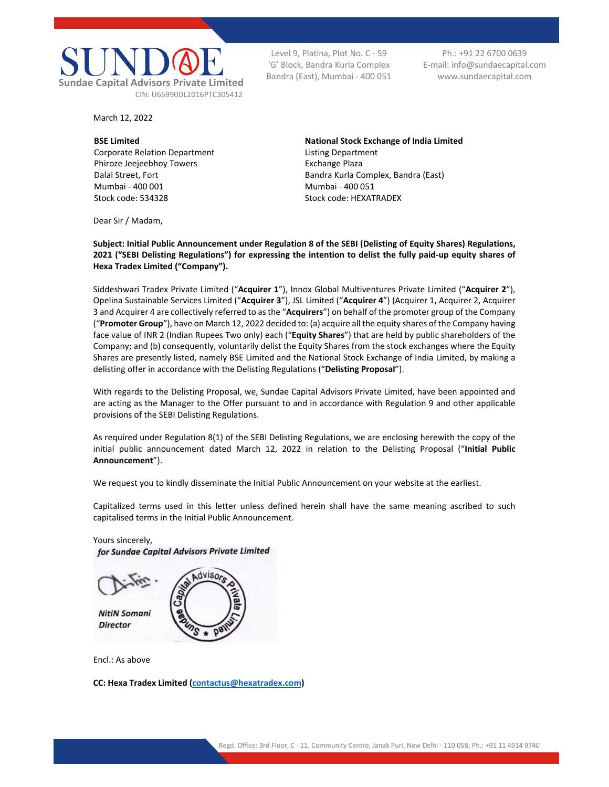

March 12, 2022

**BSE Limited**  Corporate Relation Department Phiroze Jeejeebhoy Towers Dalal Street, Fort Mumbai - 400 001 Stock code: 534328

Level 9, Platina, Plot No. C - 59 'G' Block, Bandra Kurla Complex Bandra (East), Mumbai - 400 051

Ph.: +91 22 6700 0639 E-mail: info@sundaecapital.com www.sundaecapital.com

**National Stock Exchange of India Limited**  Listing Department Exchange Plaza Bandra Kurla Complex, Bandra (East) Mumbai - 400 051 Stock code: HEXATRADEX

Dear Sir / Madam,

**Subject: Initial Public Announcement under Regulation 8 of the SEBI (Delisting of Equity Shares) Regulations, 2021 ("SEBI Delisting Regulations") for expressing the intention to delist the fully paid-up equity shares of Hexa Tradex Limited ("Company").** 

Siddeshwari Tradex Private Limited ("**Acquirer 1**"), Innox Global Multiventures Private Limited ("**Acquirer 2**"), Opelina Sustainable Services Limited ("**Acquirer 3**"), JSL Limited ("**Acquirer 4**") (Acquirer 1, Acquirer 2, Acquirer 3 and Acquirer 4 are collectively referred to as the "**Acquirers**") on behalf of the promoter group of the Company ("**Promoter Group**"), have on March 12, 2022 decided to: (a) acquire all the equity shares of the Company having face value of INR 2 (Indian Rupees Two only) each ("**Equity Shares**") that are held by public shareholders of the Company; and (b) consequently, voluntarily delist the Equity Shares from the stock exchanges where the Equity Shares are presently listed, namely BSE Limited and the National Stock Exchange of India Limited, by making a delisting offer in accordance with the Delisting Regulations ("**Delisting Proposal**").

With regards to the Delisting Proposal, we, Sundae Capital Advisors Private Limited, have been appointed and are acting as the Manager to the Offer pursuant to and in accordance with Regulation 9 and other applicable provisions of the SEBI Delisting Regulations.

As required under Regulation 8(1) of the SEBI Delisting Regulations, we are enclosing herewith the copy of the initial public announcement dated March 12, 2022 in relation to the Delisting Proposal ("**Initial Public Announcement**").

We request you to kindly disseminate the Initial Public Announcement on your website at the earliest.

Capitalized terms used in this letter unless defined herein shall have the same meaning ascribed to such capitalised terms in the Initial Public Announcement.

for Sundae Capital Advisors Private Limited dvisors **NitiN Somani Director** 

Encl.: As above

Yours sincerely,

**CC: Hexa Tradex Limited (contactus@hexatradex.com)**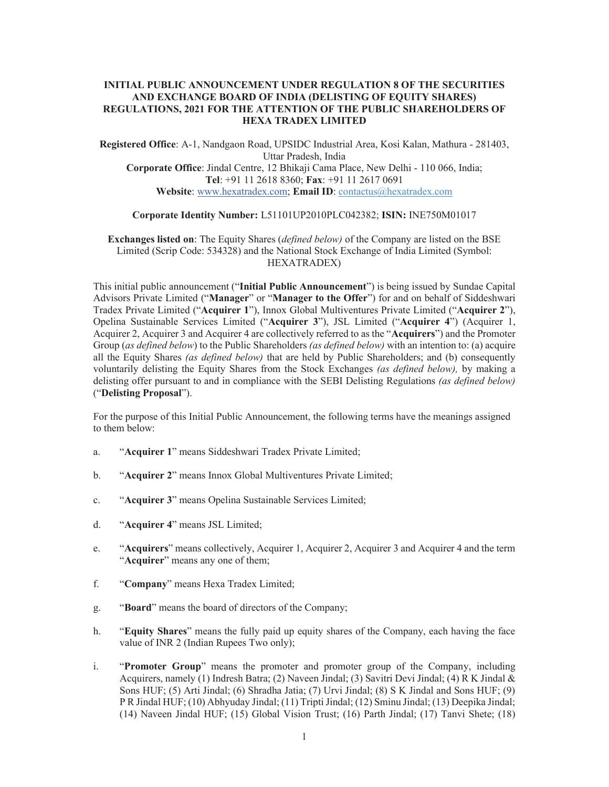## **INITIAL PUBLIC ANNOUNCEMENT UNDER REGULATION 8 OF THE SECURITIES AND EXCHANGE BOARD OF INDIA (DELISTING OF EQUITY SHARES) REGULATIONS, 2021 FOR THE ATTENTION OF THE PUBLIC SHAREHOLDERS OF HEXA TRADEX LIMITED**

**Registered Office**: A-1, Nandgaon Road, UPSIDC Industrial Area, Kosi Kalan, Mathura - 281403, Uttar Pradesh, India **Corporate Office**: Jindal Centre, 12 Bhikaji Cama Place, New Delhi - 110 066, India; **Tel**: +91 11 2618 8360; **Fax**: +91 11 2617 0691 **Website**: www.hexatradex.com; **Email ID**: contactus@hexatradex.com

# **Corporate Identity Number:** L51101UP2010PLC042382; **ISIN:** INE750M01017

**Exchanges listed on**: The Equity Shares (*defined below)* of the Company are listed on the BSE Limited (Scrip Code: 534328) and the National Stock Exchange of India Limited (Symbol: HEXATRADEX)

This initial public announcement ("**Initial Public Announcement**") is being issued by Sundae Capital Advisors Private Limited ("**Manager**" or "**Manager to the Offer**") for and on behalf of Siddeshwari Tradex Private Limited ("**Acquirer 1**"), Innox Global Multiventures Private Limited ("**Acquirer 2**"), Opelina Sustainable Services Limited ("**Acquirer 3**"), JSL Limited ("**Acquirer 4**") (Acquirer 1, Acquirer 2, Acquirer 3 and Acquirer 4 are collectively referred to as the "**Acquirers**") and the Promoter Group (*as defined below*) to the Public Shareholders *(as defined below)* with an intention to: (a) acquire all the Equity Shares *(as defined below)* that are held by Public Shareholders; and (b) consequently voluntarily delisting the Equity Shares from the Stock Exchanges *(as defined below),* by making a delisting offer pursuant to and in compliance with the SEBI Delisting Regulations *(as defined below)*  ("**Delisting Proposal**").

For the purpose of this Initial Public Announcement, the following terms have the meanings assigned to them below:

- a. "**Acquirer 1**" means Siddeshwari Tradex Private Limited;
- b. "**Acquirer 2**" means Innox Global Multiventures Private Limited;
- c. "**Acquirer 3**" means Opelina Sustainable Services Limited;
- d. "**Acquirer 4**" means JSL Limited;
- e. "**Acquirers**" means collectively, Acquirer 1, Acquirer 2, Acquirer 3 and Acquirer 4 and the term "**Acquirer**" means any one of them;
- f. "**Company**" means Hexa Tradex Limited;
- g. "**Board**" means the board of directors of the Company;
- h. "**Equity Shares**" means the fully paid up equity shares of the Company, each having the face value of INR 2 (Indian Rupees Two only);
- i. "**Promoter Group**" means the promoter and promoter group of the Company, including Acquirers, namely (1) Indresh Batra; (2) Naveen Jindal; (3) Savitri Devi Jindal; (4) R K Jindal & Sons HUF; (5) Arti Jindal; (6) Shradha Jatia; (7) Urvi Jindal; (8) S K Jindal and Sons HUF; (9) P R Jindal HUF; (10) Abhyuday Jindal; (11) Tripti Jindal; (12) Sminu Jindal; (13) Deepika Jindal; (14) Naveen Jindal HUF; (15) Global Vision Trust; (16) Parth Jindal; (17) Tanvi Shete; (18)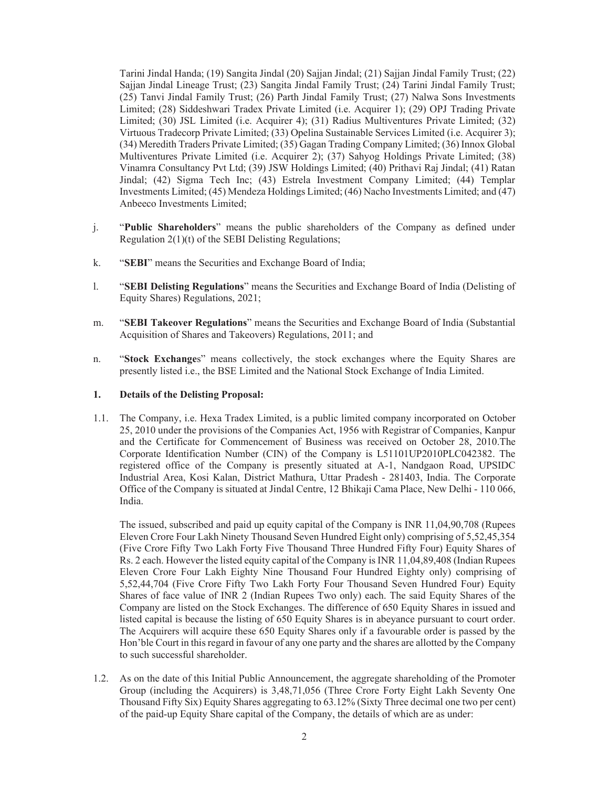Tarini Jindal Handa; (19) Sangita Jindal (20) Sajjan Jindal; (21) Sajjan Jindal Family Trust; (22) Sajjan Jindal Lineage Trust; (23) Sangita Jindal Family Trust; (24) Tarini Jindal Family Trust; (25) Tanvi Jindal Family Trust; (26) Parth Jindal Family Trust; (27) Nalwa Sons Investments Limited; (28) Siddeshwari Tradex Private Limited (i.e. Acquirer 1); (29) OPJ Trading Private Limited; (30) JSL Limited (i.e. Acquirer 4); (31) Radius Multiventures Private Limited; (32) Virtuous Tradecorp Private Limited; (33) Opelina Sustainable Services Limited (i.e. Acquirer 3); (34) Meredith Traders Private Limited; (35) Gagan Trading Company Limited; (36) Innox Global Multiventures Private Limited (i.e. Acquirer 2); (37) Sahyog Holdings Private Limited; (38) Vinamra Consultancy Pvt Ltd; (39) JSW Holdings Limited; (40) Prithavi Raj Jindal; (41) Ratan Jindal; (42) Sigma Tech Inc; (43) Estrela Investment Company Limited; (44) Templar Investments Limited; (45) Mendeza Holdings Limited; (46) Nacho Investments Limited; and (47) Anbeeco Investments Limited;

- j. "**Public Shareholders**" means the public shareholders of the Company as defined under Regulation 2(1)(t) of the SEBI Delisting Regulations;
- k. "**SEBI**" means the Securities and Exchange Board of India;
- l. "**SEBI Delisting Regulations**" means the Securities and Exchange Board of India (Delisting of Equity Shares) Regulations, 2021;
- m. "**SEBI Takeover Regulations**" means the Securities and Exchange Board of India (Substantial Acquisition of Shares and Takeovers) Regulations, 2011; and
- n. "**Stock Exchange**s" means collectively, the stock exchanges where the Equity Shares are presently listed i.e., the BSE Limited and the National Stock Exchange of India Limited.

## **1. Details of the Delisting Proposal:**

1.1. The Company, i.e. Hexa Tradex Limited, is a public limited company incorporated on October 25, 2010 under the provisions of the Companies Act, 1956 with Registrar of Companies, Kanpur and the Certificate for Commencement of Business was received on October 28, 2010.The Corporate Identification Number (CIN) of the Company is L51101UP2010PLC042382. The registered office of the Company is presently situated at A-1, Nandgaon Road, UPSIDC Industrial Area, Kosi Kalan, District Mathura, Uttar Pradesh - 281403, India. The Corporate Office of the Company is situated at Jindal Centre, 12 Bhikaji Cama Place, New Delhi - 110 066, India.

The issued, subscribed and paid up equity capital of the Company is INR 11,04,90,708 (Rupees Eleven Crore Four Lakh Ninety Thousand Seven Hundred Eight only) comprising of 5,52,45,354 (Five Crore Fifty Two Lakh Forty Five Thousand Three Hundred Fifty Four) Equity Shares of Rs. 2 each. However the listed equity capital of the Company is INR 11,04,89,408 (Indian Rupees Eleven Crore Four Lakh Eighty Nine Thousand Four Hundred Eighty only) comprising of 5,52,44,704 (Five Crore Fifty Two Lakh Forty Four Thousand Seven Hundred Four) Equity Shares of face value of INR 2 (Indian Rupees Two only) each. The said Equity Shares of the Company are listed on the Stock Exchanges. The difference of 650 Equity Shares in issued and listed capital is because the listing of 650 Equity Shares is in abeyance pursuant to court order. The Acquirers will acquire these 650 Equity Shares only if a favourable order is passed by the Hon'ble Court in this regard in favour of any one party and the shares are allotted by the Company to such successful shareholder.

1.2. As on the date of this Initial Public Announcement, the aggregate shareholding of the Promoter Group (including the Acquirers) is 3,48,71,056 (Three Crore Forty Eight Lakh Seventy One Thousand Fifty Six) Equity Shares aggregating to 63.12% (Sixty Three decimal one two per cent) of the paid-up Equity Share capital of the Company, the details of which are as under: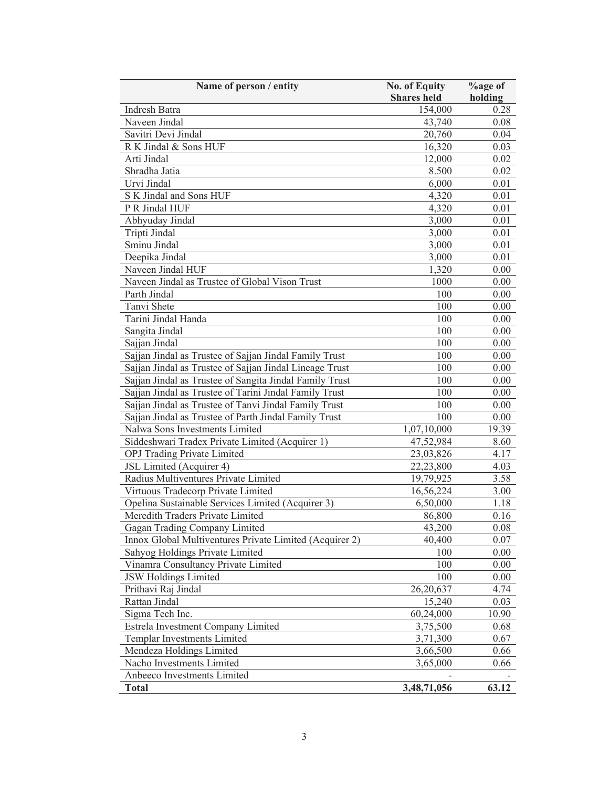| Name of person / entity                                 | <b>No. of Equity</b> | <b>%age of</b> |
|---------------------------------------------------------|----------------------|----------------|
|                                                         | <b>Shares</b> held   | holding        |
| Indresh Batra                                           | 154,000              | 0.28           |
| Naveen Jindal                                           | 43,740               | 0.08           |
| Savitri Devi Jindal                                     | 20,760               | 0.04           |
| R K Jindal & Sons HUF                                   | 16,320               | 0.03           |
| Arti Jindal                                             | 12,000               | 0.02           |
| Shradha Jatia                                           | 8.500                | 0.02           |
| Urvi Jindal                                             | 6,000                | 0.01           |
| S K Jindal and Sons HUF                                 | 4,320                | 0.01           |
| P R Jindal HUF                                          | 4,320                | 0.01           |
| Abhyuday Jindal                                         | 3,000                | 0.01           |
| Tripti Jindal                                           | 3,000                | 0.01           |
| Sminu Jindal                                            | 3,000                | 0.01           |
| Deepika Jindal                                          | 3,000                | 0.01           |
| Naveen Jindal HUF                                       | 1,320                | 0.00           |
| Naveen Jindal as Trustee of Global Vison Trust          | 1000                 | 0.00           |
| Parth Jindal                                            | 100                  | 0.00           |
| Tanvi Shete                                             | 100                  | 0.00           |
| Tarini Jindal Handa                                     | 100                  | 0.00           |
| Sangita Jindal                                          | 100                  | 0.00           |
| Sajjan Jindal                                           | 100                  | 0.00           |
| Sajjan Jindal as Trustee of Sajjan Jindal Family Trust  | 100                  | 0.00           |
| Sajjan Jindal as Trustee of Sajjan Jindal Lineage Trust | 100                  | 0.00           |
| Sajjan Jindal as Trustee of Sangita Jindal Family Trust | 100                  | 0.00           |
| Sajjan Jindal as Trustee of Tarini Jindal Family Trust  | 100                  | 0.00           |
| Sajjan Jindal as Trustee of Tanvi Jindal Family Trust   | 100                  | 0.00           |
| Sajjan Jindal as Trustee of Parth Jindal Family Trust   | 100                  | 0.00           |
| Nalwa Sons Investments Limited                          | 1,07,10,000          | 19.39          |
| Siddeshwari Tradex Private Limited (Acquirer 1)         | 47,52,984            | 8.60           |
| OPJ Trading Private Limited                             | 23,03,826            | 4.17           |
| JSL Limited (Acquirer 4)                                | 22,23,800            | 4.03           |
| Radius Multiventures Private Limited                    | 19,79,925            | 3.58           |
| Virtuous Tradecorp Private Limited                      | 16,56,224            | 3.00           |
| Opelina Sustainable Services Limited (Acquirer 3)       | 6,50,000             | 1.18           |
| Meredith Traders Private Limited                        | 86,800               | 0.16           |
| Gagan Trading Company Limited                           | 43,200               | 0.08           |
| Innox Global Multiventures Private Limited (Acquirer 2) | 40,400               | 0.07           |
| Sahyog Holdings Private Limited                         | 100                  | 0.00           |
| Vinamra Consultancy Private Limited                     | 100                  | 0.00           |
| <b>JSW Holdings Limited</b>                             | 100                  | 0.00           |
| Prithavi Raj Jindal                                     | 26,20,637            | 4.74           |
| Rattan Jindal                                           | 15,240               | 0.03           |
| Sigma Tech Inc.                                         | 60,24,000            | 10.90          |
| Estrela Investment Company Limited                      | 3,75,500             | 0.68           |
| Templar Investments Limited                             | 3,71,300             | 0.67           |
| Mendeza Holdings Limited                                | 3,66,500             | 0.66           |
| Nacho Investments Limited                               | 3,65,000             | 0.66           |
| Anbeeco Investments Limited                             |                      |                |
| <b>Total</b>                                            | 3,48,71,056          | 63.12          |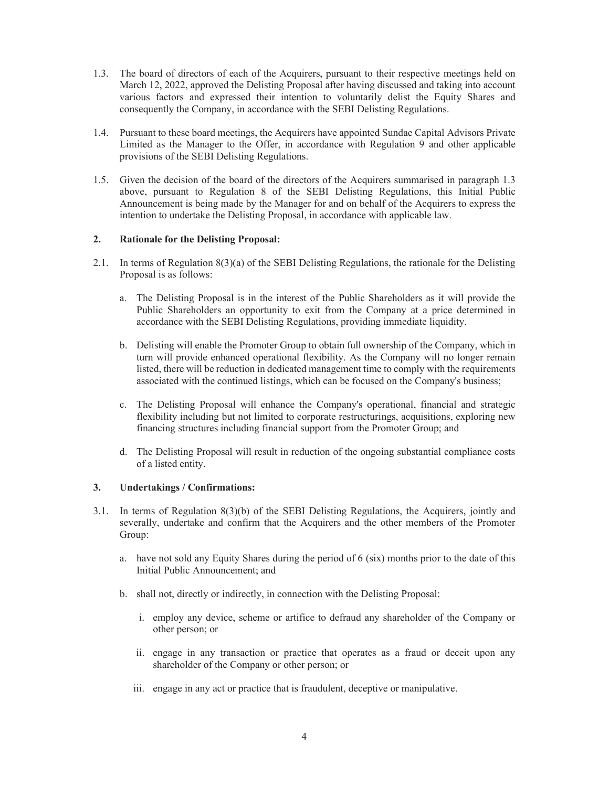- 1.3. The board of directors of each of the Acquirers, pursuant to their respective meetings held on March 12, 2022, approved the Delisting Proposal after having discussed and taking into account various factors and expressed their intention to voluntarily delist the Equity Shares and consequently the Company, in accordance with the SEBI Delisting Regulations.
- 1.4. Pursuant to these board meetings, the Acquirers have appointed Sundae Capital Advisors Private Limited as the Manager to the Offer, in accordance with Regulation 9 and other applicable provisions of the SEBI Delisting Regulations.
- 1.5. Given the decision of the board of the directors of the Acquirers summarised in paragraph 1.3 above, pursuant to Regulation 8 of the SEBI Delisting Regulations, this Initial Public Announcement is being made by the Manager for and on behalf of the Acquirers to express the intention to undertake the Delisting Proposal, in accordance with applicable law.

# **2. Rationale for the Delisting Proposal:**

- 2.1. In terms of Regulation 8(3)(a) of the SEBI Delisting Regulations, the rationale for the Delisting Proposal is as follows:
	- a. The Delisting Proposal is in the interest of the Public Shareholders as it will provide the Public Shareholders an opportunity to exit from the Company at a price determined in accordance with the SEBI Delisting Regulations, providing immediate liquidity.
	- b. Delisting will enable the Promoter Group to obtain full ownership of the Company, which in turn will provide enhanced operational flexibility. As the Company will no longer remain listed, there will be reduction in dedicated management time to comply with the requirements associated with the continued listings, which can be focused on the Company's business;
	- c. The Delisting Proposal will enhance the Company's operational, financial and strategic flexibility including but not limited to corporate restructurings, acquisitions, exploring new financing structures including financial support from the Promoter Group; and
	- d. The Delisting Proposal will result in reduction of the ongoing substantial compliance costs of a listed entity.

#### **3. Undertakings / Confirmations:**

- 3.1. In terms of Regulation 8(3)(b) of the SEBI Delisting Regulations, the Acquirers, jointly and severally, undertake and confirm that the Acquirers and the other members of the Promoter Group:
	- a. have not sold any Equity Shares during the period of 6 (six) months prior to the date of this Initial Public Announcement; and
	- b. shall not, directly or indirectly, in connection with the Delisting Proposal:
		- i. employ any device, scheme or artifice to defraud any shareholder of the Company or other person; or
		- ii. engage in any transaction or practice that operates as a fraud or deceit upon any shareholder of the Company or other person; or
		- iii. engage in any act or practice that is fraudulent, deceptive or manipulative.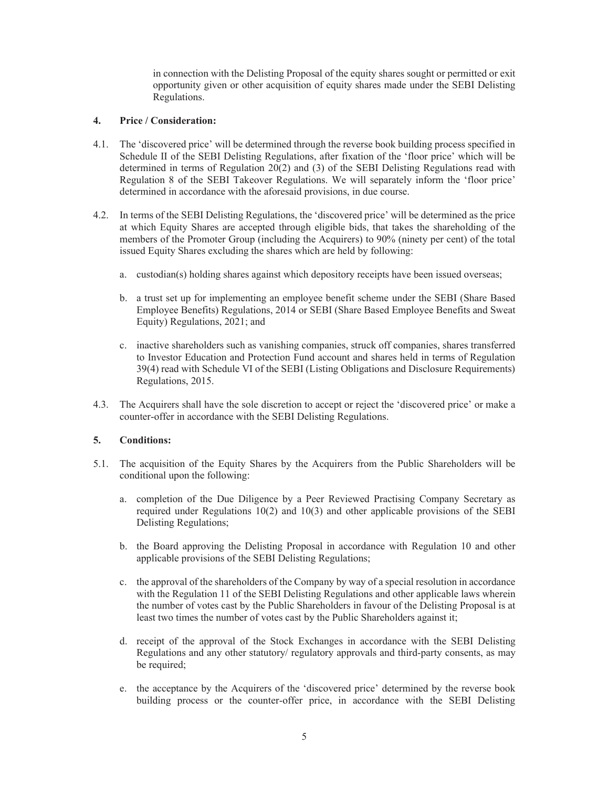in connection with the Delisting Proposal of the equity shares sought or permitted or exit opportunity given or other acquisition of equity shares made under the SEBI Delisting Regulations.

## **4. Price / Consideration:**

- 4.1. The 'discovered price' will be determined through the reverse book building process specified in Schedule II of the SEBI Delisting Regulations, after fixation of the 'floor price' which will be determined in terms of Regulation 20(2) and (3) of the SEBI Delisting Regulations read with Regulation 8 of the SEBI Takeover Regulations. We will separately inform the 'floor price' determined in accordance with the aforesaid provisions, in due course.
- 4.2. In terms of the SEBI Delisting Regulations, the 'discovered price' will be determined as the price at which Equity Shares are accepted through eligible bids, that takes the shareholding of the members of the Promoter Group (including the Acquirers) to 90% (ninety per cent) of the total issued Equity Shares excluding the shares which are held by following:
	- a. custodian(s) holding shares against which depository receipts have been issued overseas;
	- b. a trust set up for implementing an employee benefit scheme under the SEBI (Share Based Employee Benefits) Regulations, 2014 or SEBI (Share Based Employee Benefits and Sweat Equity) Regulations, 2021; and
	- c. inactive shareholders such as vanishing companies, struck off companies, shares transferred to Investor Education and Protection Fund account and shares held in terms of Regulation 39(4) read with Schedule VI of the SEBI (Listing Obligations and Disclosure Requirements) Regulations, 2015.
- 4.3. The Acquirers shall have the sole discretion to accept or reject the 'discovered price' or make a counter-offer in accordance with the SEBI Delisting Regulations.

#### **5. Conditions:**

- 5.1. The acquisition of the Equity Shares by the Acquirers from the Public Shareholders will be conditional upon the following:
	- a. completion of the Due Diligence by a Peer Reviewed Practising Company Secretary as required under Regulations 10(2) and 10(3) and other applicable provisions of the SEBI Delisting Regulations;
	- b. the Board approving the Delisting Proposal in accordance with Regulation 10 and other applicable provisions of the SEBI Delisting Regulations;
	- c. the approval of the shareholders of the Company by way of a special resolution in accordance with the Regulation 11 of the SEBI Delisting Regulations and other applicable laws wherein the number of votes cast by the Public Shareholders in favour of the Delisting Proposal is at least two times the number of votes cast by the Public Shareholders against it;
	- d. receipt of the approval of the Stock Exchanges in accordance with the SEBI Delisting Regulations and any other statutory/ regulatory approvals and third-party consents, as may be required;
	- e. the acceptance by the Acquirers of the 'discovered price' determined by the reverse book building process or the counter-offer price, in accordance with the SEBI Delisting